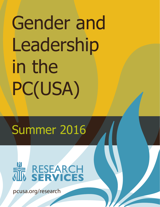# Gender and Leadership in the PC(USA)

## Summer 2016



pcusa.org/research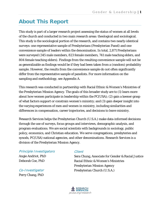## **About This Report**

This study is part of a larger research project assessing the status of women at all levels of the church and conducted in two main research areas: theological and sociological. This study is the sociological portion of the research, and contains two nearly-identical surveys: one representative sample of Presbyterians (Presbyterian Panel) and one convenience sample of leaders within the denomination. In total, 2,871 Presbyterians were surveyed (345 male members, 823 female members, 741 male teaching elders, and 804 female teaching elders). Findings from the resulting convenience sample will not be as generalizable as findings would be if they had been taken from a (random) probability sample. However, the results from the convenience sample do not often significantly differ from the representative sample of panelists. For more information on the sampling and methodology, see Appendix A.

This research was conducted in partnership with Racial Ethnic & Women's Ministries of the Presbyterian Mission Agency and the Study on the Status of Women Team, created by the Advocacy Committee for Women's Concerns (ACWC). The goals of this broader study are to (1) learn more about how women participate in leadership within the PC(USA); (2) gain a keener grasp of what factors support or constrain women's ministry; and (3) gain deeper insight into the varying experiences of men and women in ministry, including similarities and differences in compensation, career trajectories, and decisions to leave ministry.

Research Services helps the Presbyterian Church (U.S.A.) make data-informed decisions through the use of surveys, focus groups and interviews, demographic analysis, and program evaluations. We are social scientists with backgrounds in sociology, public policy, economics, and Christian education. We serve congregations, presbyteries and synods, PC(USA) national agencies, and other denominations. Research Services is a division of the Presbyterian Mission Agency.

Principle Investigators

Angie Andriot, PhD Deborah Coe, PhD

Co-Investigator Perry Chang, PhD

## Client

Sera Chung, Associate for Gender & Racial Justice Racial Ethnic & Women's Ministries Presbyterian Mission Agency Presbyterian Church (U.S.A.)

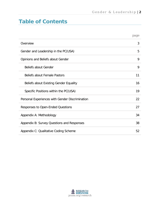## **Table of Contents**

|                                                 | page |
|-------------------------------------------------|------|
| Overview                                        | 3    |
| Gender and Leadership in the PC(USA)            | 5    |
| Opinions and Beliefs about Gender               | 9    |
| <b>Beliefs about Gender</b>                     | 9    |
| <b>Beliefs about Female Pastors</b>             | 11   |
| <b>Beliefs about Existing Gender Equality</b>   | 16   |
| Specific Positions within the PC(USA)           | 19   |
| Personal Experiences with Gender Discrimination | 22   |
| Responses to Open-Ended Questions               | 27   |
| Appendix A: Methodology                         | 34   |
| Appendix B: Survey Questions and Responses      | 38   |
| Appendix C: Qualitative Coding Scheme           | 52   |

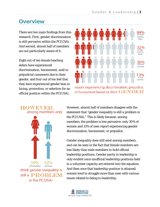## **Overview**

There are two main findings from this research. First, gender discrimination is still pervasive within the PC(USA). And second, almost half of members are not particularly aware of it.

Eight out of ten female teaching elders have experienced discrimination, harassment, and/or prejudicial comments due to their gender, and four out of ten feel that they have experienced gender bias in hiring, promotion, or selection for an official position within the PC(USA).



report experiencing discrimination, prejudice, or harassment based on their  $\bf GEMDER$ 



However, almost half of members disagree with the statement that "gender inequality is still a problem in the PC(USA)." This is likely because, among members, the problem is less pervasive: only 30% of women and 13% of men report experiencing gender discrimination, harassment, or prejudice.

Gender inequality does still exist among members, and can be seen in the fact that female members are less likely than male members to hold official leadership positions. Gender parity in leadership is only evident once unofficial leadership positions held in a volunteer capacity are entered into the equation. And then once that leadership position is attained, women tend to struggle more than men with various issues related to being in leadership.

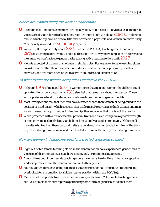#### Where are women doing the work of leadership?

- **o** Although male and female members are equally likely to be asked to serve in a leadership role, the nature of that role varies by gender. Men are more likely to hold an **Official** leadership role, in which they have an official title and/or receive a paycheck, and women are more likely to be heavily involved in a **voluntary** capacity.
- **O** Women still comprise only about  $38\%$  of all active PC(USA) teaching elders, and only  $29\%$  of teaching elders overall. These percentages are slowly increasing. If the rate remains the same, we won't achieve gender parity among active teaching elders until  $2027$ .
- **o** More is expected of women than of men in similar roles. For example, female teaching elders are asked more often than male teaching elders to lead workshops, programs, or other activities, and are more often asked to serve in childcare and kitchen roles.

#### To what extent are women accepted as leaders in the PC(USA)?

- **O** Although  $89\%$  of men and  $93\%$  of women agree that men and women should have equal opportunities to be a pastor, only 73% also feel that same way about *their* pastor. Those with a preference tend to prefer a pastor who matches their own gender identity.
- **o** Most Presbyterians feel that men still have a better chance than women of being called to the position of head pastor, which suggests that while most Presbyterians think women and men *should* have equal opportunities for leadership, they recognize that this is not the reality.
- **o** When presented with a list of essential pastoral traits and asked if they are a greater strength of men or women, slightly less than half decline to apply a gender stereotype. Of the small majority who feel that these pastoral traits are gendered, women tended to think of the traits as greater strengths of women, and men tended to think of them as greater strengths of men.

#### How are women in leadership positions treated compared to men?

- **o** Eight out of ten female teaching elders in the denomination have experienced gender bias in the form of discrimination, sexual harassment, and/or prejudicial statements.
- **o** Almost three out of four female teaching elders have had a harder time in being accepted in leadership roles within the denomination due to their gender.
- **o** Four out of ten female teaching elders feel that their gender has contributed to their being overlooked for a promotion to a higher-status position within the PC(USA).
- **o** Men are not completely free from experiences of gender bias: 32% of male teaching elders and 13% of male members report experiencing some form of gender bias against them.

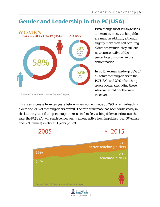## **Gender and Leadership in the PC(USA)**



Source: OGA 2015 Session Annual Statistical Report

Even though most Presbyterians are women, most teaching elders are men. In addition, although slightly more than half of ruling elders are women, they still are not representative of the percentage of women in the denomination.

In 2015, women made up 38% of all active teaching elders in the PC(USA), and 29% of teaching elders overall (including those who are retired or otherwise inactive).

This is an increase from ten years before, when women made up 29% of active teaching elders and 21% of teaching elders overall. The rate of increase has been fairly steady in the last ten years; if the percentage increase in female teaching elders continues at this rate, the PC(USA) will reach gender parity among active teaching elders (i.e., 50% male and 50% female) in about 11 years (2027).

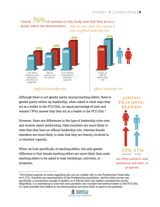#### Overall,  $76\%$  of members in this study state that they act as a leader within the denomination Men are more likely than women to have an official leadership role



42% I have an official leadership role

unofficial leadership roles

Although there is not gender parity among teaching elders, there is gender parity within lay leadership; when asked in what ways they act as a leader in the PC(USA), an equal percentage of men and women (76%) answer that they act as a leader in the PC(USA).[1](#page-6-0)

However, there are differences in the type of leadership roles men and women report performing. Male members are more likely to state that they have an *official* leadership role, whereas female members are more likely to state that they are heavily involved in a *volunteer* capacity.

When we look specifically at teaching elders, the only gender difference is that female teaching elders are more likely than male teaching elders to be asked to lead workshops, activities, or programs.



**AMONG TEACHING ELDERS** 

are often asked to lead workshops, activities, or programs

<span id="page-6-0"></span><sup>&</sup>lt;sup>1</sup> We limited analysis on items regarding who acts as a leader only to the Presbyterian Panel data (n=1,752). Panelists are representative of the Presbyterian population, and the other survey was specifically a convenience sample of leaders, so it follows that only leaders answered the survey. Regardless, it is interesting to note that most panelists also consider themselves leaders in the PC(USA). It's quite possible that leaders in the denomination are more likely to agree to be panelists.



## official leadership role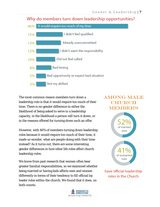## Why do members turn down leadership opportunities?



The most common reason members turn down a leadership role is that it would require too much of their time. There is no gender difference in either the likelihood of being asked to serve in a leadership capacity, in the likelihood a person will turn it down, or in the reasons offered for turning down such an offer.

However, with 46% of members turning down leadership roles because it would require too much of their time, it made us wonder, what are people doing with their time instead? As it turns out, there are some interesting gender differences in how other life roles affect church leadership roles.

We know from past research that women often bear greater familial responsibilities, so we examined whether being married or having kids affects men and women differently in terms of their tendency to fill official lay leader roles within the church. We found that it does, on both counts.

## **AMONG MALE CHURCH MEMBERS**



have official leadership roles in the Church

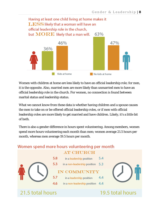

Women with children at home are less likely to have an official leadership role; for men, it is the opposite. Also, married men are more likely than unmarried men to have an official leadership role in the church. For women, no connection is found between marital status and leadership status.

What we cannot know from these data is whether having children and a spouse causes the men to take on or be offered official leadership roles, or if men with official leadership roles are more likely to get married and have children. Likely, it's a little bit of both.

There is also a gender difference in hours spent volunteering. Among members, women spend more hours volunteering each month than men; women average 21.5 hours per month, whereas men average 19.5 hours per month.

## Women spend more hours volunteering per month

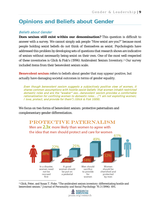## **Opinions and Beliefs about Gender**

## Beliefs about Gender

*Does sexism still exist within our denomination?* This question is difficult to answer with a survey. We cannot simply ask people "How sexist are you?" because most people holding sexist beliefs do not think of themselves as sexist. Psychologists have addressed this problem by developing sets of questions that research shows are indicative of sexism without necessarily being sexist on their own. One of the most well-respected of these inventories is Glick & Fisk's (1996) Ambivalent Sexism Inventory.[2](#page-9-0) Our survey included items from their benevolent sexism scale.

**Benevolent sexism** refers to beliefs about gender that may *appear* positive, but actually have damaging societal outcomes in terms of gender equality.

Even though benevolent sexism suggests a subjectively positive view of women, it shares common assumptions with hostile sexist beliefs: that women inhabit restricted domestic roles and are the "weaker" sex...benevolent sexism provides a comfortable rationalization for confining women to domestic roles… ("I am not exploiting women; I love, protect, and provide for them") (Glick & Fisk 1009).

We focus on two forms of benevolent sexism: protective paternalism and complementary gender differentiation.



<span id="page-9-0"></span> 2 Glick, Peter, and Susan T. Fiske. "The ambivalent sexism inventory: differentiating hostile and benevolent sexism." *Journal of Personality and Social Psychology* 70.3 (1996): 491.

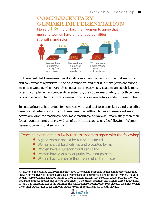## **COMPLEMENTARY GENDER DIEEERENTIATION** Men are 1.6X more likely than women to agree that men and women have different personalities, strengths, and roles 20% 14%



To the extent that these measures do indicate sexism, we can conclude that sexism is still somewhat of a problem in the denomination, and that it is more prevalent among men than women. Men more often engage in protective paternalism, and slightly more often in complementary gender differentiation, than do women.[3](#page-10-0) Also, for both genders, protective paternalism is more prevalent than is complementary gender differentiation.

In comparing teaching elders to members, we found that teaching elders tend to exhibit fewer sexist beliefs, according to these measures. Although overall benevolent sexism scores are lower for teaching elders, male teaching elders are still more likely than their female counterparts to agree with all of these measures except the following: "Women have a superior moral sensibility."

Teaching elders are less likely than members to agree with the following:

- A good woman should be put on a pedestal
- Women should be cherished and protected by men
- Women have a superior moral sensibility
- Women have a quality of purity few men possess
- Women have a more refined sense of culture, taste

<span id="page-10-0"></span> <sup>3</sup> However, one potential issue with the protective paternalism questions is that some respondents may answer affirmatively to statements such as "women should be cherished and protected by men," but not actually agree with the gendered nature of the statement; rather, they selected "agree" because they feel that *people* should protect and cherish each other. To the extent that men and women were equally likely to have this interpretation of the question, the gender differences in responses still carry meaning, even if the overall percentages of respondents agreeing with the statement are slightly elevated.

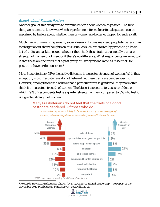## Beliefs about Female Pastors

Another goal of this study was to examine beliefs about women as pastors. The first thing we wanted to know was whether preferences for male or female pastors can be explained by beliefs about whether men or women are better equipped for such a call.

Much like with measuring sexism, social desirability bias may lead people to be less than forthright about their thoughts on this issue. As such, we started by presenting a basic list of traits, and asking people whether they think these traits are generally a greater strength of women or of men, or if there's no difference. What respondents were not told is that these are the traits that a past group of Presbyterians rated as "essential" for pastors to have or demonstrate.[4](#page-11-0)

Most Presbyterians (58%) feel active listening is a greater strength of women. With that exception, most Presbyterians do not believe that these traits are gender-specific. However, among those who believe that a particular trait is gendered, they more often think it is a greater strength of women. The biggest exception to this is confidence, which 29% of respondents feel is a greater strength of men, compared to 6% who feel it is a greater strength of women.

## Many Presbyterians do not feel that the traits of a good pastor are gendered. Of those who do...

active listening is most likely to be considered a greater strength of women, whereas confidence is more likely to be attributed to men



<span id="page-11-0"></span> 4 Research Services, Presbyterian Church (U.S.A.). *Congregational Leadership: The Report of the November 2010 Presbyterian Panel Survey*. Louisville, 2012.

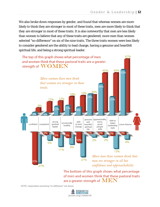We also broke down responses by gender, and found that whereas women are more likely to think they are stronger in most of these traits, men are more likely to think that *they* are stronger in most of these traits. It is also noteworthy that men are *less* likely than women to believe that any of these traits are gendered; more men than women selected "no difference" on six of the nine traits. The three traits women were less likely to consider gendered are the ability to lead change, having a genuine and heartfelt spiritual life, and being a strong spiritual leader.



The bottom of this graph shows what percentage of men and women think that these pastoral traits are a greater strength of  $\mathbf{MEMN}$ 

NOTE: respondents answering "no difference" not shown

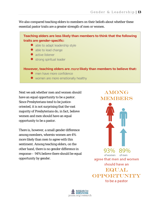We also compared teaching elders to members on their beliefs about whether these essential pastor traits are a greater strength of men or women.

### **Teaching elders are less likely than members to think that the following traits are gender-specific:**

- able to adapt leadership style
- able to lead change
- active listener
- **•** strong spiritual leader

**However, teaching elders are** more **likely than members to believe that:**

- men have more confidence
- **•** women are more emotionally healthy

Next we ask whether men and women should have an equal opportunity to be a pastor. Since Presbyterians tend to be justiceoriented, it is not surprising that the vast majority of Presbyterians do, in fact, believe women and men should have an equal opportunity to be a pastor.

There is, however, a small gender difference among members, wherein women are 4% more likely than men to agree with this sentiment. Among teaching elders, on the other hand, there is no gender difference in response – 94% believe there should be equal opportunity by gender.

**AMONG MEMBERS** 

93% 89% of women of men agree that men and women should have an

**EQUAL** 

**OPPORTUNIAY** 

to be a pastor

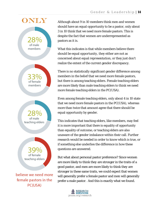

Although about 9 in 10 members think men and women should have an equal opportunity to be a pastor, only about 3 in 10 think that we need more female pastors. This is despite the fact that women are underrepresented as pastors as it is.

What this indicates is that while members believe there should be equal *opportunity,* they either are not as concerned about equal *representation*, or they just don't realize the extent of the current gender discrepancy*.* 

There is no statistically significant gender difference among members in the belief that we need more female pastors, but there is among teaching elders. Female teaching elders are more likely than male teaching elders to think we need more female teaching elders in the PC(USA).

Even among female teaching elders, only about 4 in 10 state that we need more female pastors in the PC(USA), whereas more than twice that amount agree that there should be equal opportunity by gender.

This indicates that teaching elders, like members, may feel it is more important that there is equality of opportunity than equality of outcome, or teaching elders are also unaware of the gender imbalance within their call. Further research would be needed in order to know which is true, or if something else underlies the difference in how these questions are answered.

But what about personal pastor preference? Since women are more likely to think *they* are stronger in the traits of a good pastor, and men are more likely to think *they* are stronger in these same traits, we could expect that women will generally prefer a female pastor and men will generally prefer a male pastor. And this is exactly what we found.

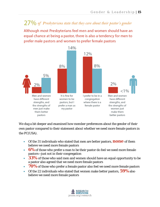## $27\%$  of Presbyterians state that they care about their pastor's gender

Although most Presbyterians feel men and women should have an equal chance at being a pastor, there is also a tendency for men to prefer male pastors and women to prefer female pastors



We dug a bit deeper and examined how member preferences about the gender of their own pastor compared to their statement about whether we need more female pastors in the PC(USA).

- Of the 31 individuals who stated that men are better pastors, **none** of them believe we need more female pastors
- **6%** of those who prefer a man to be their pastor do feel we need more female pastors—just not in their congregation
- **33%** of those who said men and women should have an equal opportunity to be a pastor also agreed that we need more female pastors
- **70%** of those who prefer a female pastor also feel we need more female pastors
- Of the 22 individuals who stated that women make better pastors, **59%** also believe we need more female pastors

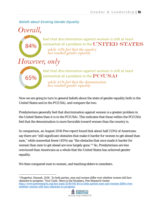## Beliefs about Existing Gender Equality



Now we are going to turn to general beliefs about the state of gender equality both in the United States and in the PC(USA), and compare the two.

Presbyterians generally feel that discrimination against women is a greater problem in the United States than it is in the PC(USA). This indicates that those within the PC(USA) feel that the denomination is more favorable toward women than the country is.

In comparison, an August 2016 Pew report found that about half (53%) of Americans say there are "still significant obstacles that make it harder for women to get ahead than men," while somewhat fewer (45%) say "the obstacles that once made it harder for women than men to get ahead are now largely gone."[5](#page-16-0) So, Presbyterians are less convinced than Americans as a whole that the United States has achieved gender equality.

We then compared men to women, and teaching elders to members.

<span id="page-16-0"></span> <sup>5</sup> Fingerhut, Hannah. 2016. "In both parties, men and women differ over whether women still face obstacles to progress." *Fact Tank: News in the Numbers*, Pew Research Center. [http://www.pewresearch.org/fact-tank/2016/08/16/in-both-parties-men-and-women-differ-over](http://www.pewresearch.org/fact-tank/2016/08/16/in-both-parties-men-and-women-differ-over-whether-women-still-face-obstacles-to-progress/)[whether-women-still-face-obstacles-to-progress/](http://www.pewresearch.org/fact-tank/2016/08/16/in-both-parties-men-and-women-differ-over-whether-women-still-face-obstacles-to-progress/)

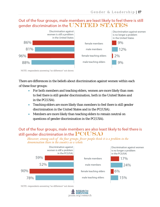## Out of the four groups, male members are least likely to feel there is still gender discrimination in the UNITED STATES



There are differences in the beliefs about discrimination against women within each of these four groups:

- For both members and teaching elders, women are more likely than men to feel there is still gender discrimination, both in the United States and in the PC(USA).
- Teaching elders are more likely than members to feel there is still gender discrimination in the United States and in the PC(USA).
- Members are more likely than teaching elders to remain neutral on questions of gender discrimination in the PC(USA).

## Out of the four groups, male members are also least likely to feel there is still gender discrimination in the  $\rm PC(USA)$

However, among each of the four groups, fewer people think it is a problem in the denomination than in the country as a whole.



NOTE: respondents answering "no difference" not shown

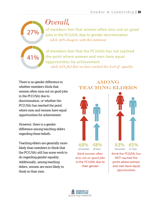## Overall,

of members feel that women often miss out on good jobs in the PC(USA) due to gender discrimination while 29% disagree with this statement

of members feel that the PC(USA) has not reached the point where women and men have equal opportunities for achievement while 25% feel that we have reached this level of equality

There is no gender difference in whether *members* think that women often miss out on good jobs in the PC(USA) due to discrimination, or whether the PC(USA) has reached the point where men and women have equal opportunities for achievement.

27%

41%

However, there is a gender difference among *teaching elders* regarding these beliefs.

Teaching elders are generally more likely than members to think that the PC(USA) still has some work to do regarding gender equality. Additionally, among teaching elders, women are more likely to think so than men.

## **AMONG TEACHING ELDERS**





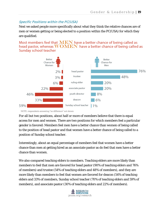## Specific Positions within the PC(USA)

Next we asked people more specifically about what they think the relative chances are of men or women getting or being elected to a position within the PC(USA) for which they are qualified.

Most members feel that  $\textbf{MEN}$  have a better chance of being called as head pastor, whereas  $WOMEN$  have a better chance of being called as Sunday school teacher



NOTE: respondents answering "no difference" not shown

For all but two positions, about half or more of members believe that there is equal access for men and women. There are two positions for which members feel a particular gender is favored: Members feel men have a better chance than women of being called to the position of head pastor and that women have a better chance of being called to a position of Sunday school teacher.

Interestingly, about an equal percentage of members feel that *women* have a better chance than men at getting hired as an associate pastor as do feel that *men* have a better chance than *women*.

We also compared teaching elders to members. Teaching elders are more likely than members to feel that men are favored for head pastor (90% of teaching elders and 76% of members) and trustee (54% of teaching elders and 48% of members), and they are more likely than members to feel that women are favored for deacon (54% of teaching elders and 33% of members, Sunday school teacher (70% of teaching elders and 59% of members), and associate pastor (30% of teaching elders and 22% of members).

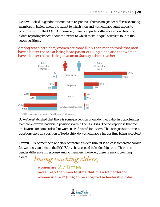Next we looked at gender differences in responses. There is no gender difference among members in beliefs about the extent to which men and women have equal access to positions within the PC(USA); however, there is a gender difference among teaching elders regarding beliefs about the extent to which there is equal access to four of the seven positions.

Among teaching elders, women are more likely than men to think that men have a better chance at being head pastor or ruling elder, and that women have a better chance being deacon or Sunday school teacher



NOTE: respondents answering "no difference" not shown

elders.

So we've established that there is some perception of gender inequality in opportunities to achieve certain leadership positions within the PC(USA). The perception is that men are favored for some roles, but women are favored for others. This brings us to our next question: once in a position of leadership, do women have a harder time being accepted?

Overall, 91% of members and 94% of teaching elders think it is at least somewhat harder for women than men in the PC(USA) to be accepted in leadership roles. There is no gender difference in response among members; however, there is among teaching

## Among teaching elders, women are 2.7 times more likely than men to state that it is a lot harder for women in the PC(USA) to be accepted in leadership roles

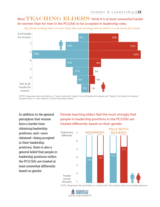## Most TEACHING ELDERS think it is at least somewhat harder for women than for men in the PC(USA) to be accepted in leadership roles.

Also, female teaching elders are more likely than male teaching elders to think it is a lot harder for women



NOTE: Responses were provided on a 7-point scale with 1 being "not at all harder for women and 7 being "a lot harder for women." Answers from 2-7 were coded as "at least somewhat harder."

In addition to the general perception that women have a harder time obtaining leadership positions, and—once obtained—being accepted in their leadership positions, there is also a general belief that people in leadership positions within the PC(USA) are treated at least somewhat differently based on gender.

Female teaching elders feel the most strongly that people in leadership positions in the PC(USA) are treated differently based on their gender



NOTE: Responses were provided on a 7-point scale. The numbers above are average responses.

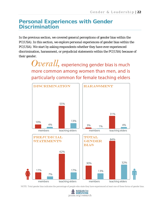## **Personal Experiences with Gender Discrimination**

In the previous section, we covered *general* perceptions of gender bias within the PC(USA). In this section, we explore *personal* experiences of gender bias within the PC(USA). We start by asking respondents whether they have ever experienced discrimination, harassment, or prejudicial statements within the PC(USA) because of their gender.

> $Overall$ , experiencing gender bias is much more common among women than men, and is particularly common for female teaching elders



NOTE: Total gender bias indicates the percentage of people who state they have experienced at least one of these forms of gender bias.

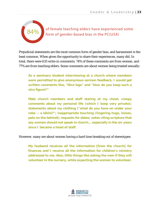of female teaching elders have experienced some form of gender-based bias in the PC(USA)

Prejudicial statements are the most common form of gender bias, and harassment is the least common. When given the opportunity to share their experiences, many did. In total, there were 635 write-in comments; 74% of these comments are from women, and 77% are from teaching elders. Some comments are about women being treated sexually:

**As a seminary student interviewing at a church where members were permitted to give anonymous sermon feedback, I would get written comments like, "Nice legs" and "How do you keep such a nice figure?"**

**Male church members and staff staring at my chest; creepy comments about my personal life (which I keep very private); statements about my clothing ("what do you have on under your robe -- a bikini?"; inappropriate touching (lingering hugs, kisses, pats on the behind); requests for dates; notes citing scripture that say women should not speak in church… especially in the six years since I became a head of staff.**

However, many are about women having a hard time breaking out of stereotypes:

**My husband receives all the information [from the church] for finances and I receive all the information for children's ministry addressed to me. Also, little things like asking the men if they will volunteer in the nursery, while expecting the women to volunteer.**

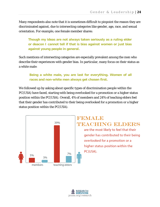Many respondents also note that it is sometimes difficult to pinpoint the reason they are discriminated against, due to intersecting categories like gender, age, race, and sexual orientation. For example, one female member shares:

**Though my ideas are not always taken seriously as a ruling elder or deacon I cannot tell if that is bias against women or just bias against young people in general.**

Such mentions of intersecting categories are especially prevalent among the men who describe their experiences with gender bias. In particular, many focus on their status as a white male:

**Being a white male, you are last for everything. Women of all races and non-white men always get chosen first.**

We followed up by asking about specific types of discrimination people within the PC(USA) have faced, starting with being overlooked for a promotion or a higher status position within the PC(USA). Overall, 4% of members and 24% of teaching elders feel that their gender has contributed to their being overlooked for a promotion or a higher status position within the PC(USA).



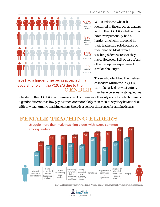

have had a harder time being accepted in a leadership role in the PC(USA) due to their **GENDER** 

We asked those who selfidentified in the survey as leaders within the PC(USA) whether they have ever *personally* had a harder time being accepted in their leadership role because of their gender. Most female teaching elders state that they have. However, 14% or less of any other group has experienced similar challenges.

Those who identified themselves as leaders within the PC(USA) were also asked to what extent they have personally struggled, as

a leader in the PC(USA), with nine issues. For members, the only issue for which there is a gender difference is low pay; women are more likely than men to say they have to deal with low pay. Among teaching elders, there is a gender difference for all nine issues.



## **FEMALE TEACHING ELDERS**

NOTE: Responses were provided on a 7-point scale. The numbers above are average responses.

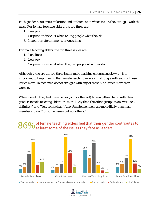Each gender has some similarities and differences in which issues they struggle with the most. For female teaching elders, the top three are:

- 1. Low pay
- 2. Surprise or disbelief when telling people what they do
- 3. Inappropriate comments or questions

For male teaching elders, the top three issues are:

- 1. Loneliness
- 2. Low pay
- 3. Surprise or disbelief when they tell people what they do

Although these are the top three issues male teaching elders struggle with, it is important to keep in mind that female teaching elders still struggle with each of these issues more. In fact, men do not struggle with any of these nine issues more than women.

When asked if they feel these issues (or lack thereof) have anything to do with their gender, female teaching elders are more likely than the other groups to answer "Yes, definitely" and "Yes, somewhat." Also, female members are more likely than male members to say "for some issues but not others."

## $86\%$  of female teaching elders feel that their gender contributes to<br>86% at least some of the issues they face as leaders



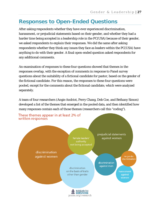## **Responses to Open-Ended Questions**

After asking respondents whether they have ever experienced discrimination, harassment, or prejudicial statements based on their gender, and whether they had a harder time being accepted in a leadership role in the PC(USA) because of their gender, we asked respondents to *explain* their responses. We did the same after asking respondents whether they think any issues they face as leaders within the PC(USA) have anything to do with their gender. A final open-ended question asked respondents for any additional comments.

An examination of responses to these four questions showed that themes in the responses overlap, with the exception of comments in response to Panel survey questions about the suitability of a fictional candidate for pastor, based on the gender of the fictional candidate. For this reason, the responses to these four questions were pooled, except for the comments about the fictional candidate, which were analyzed separately.

A team of four researchers (Angie Andriot, Perry Chang, Deb Coe, and Bethany Simon) developed a list of the themes that emerged in the pooled data, and then identified how many responses contain each of those themes (researchers call this "coding").

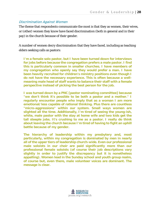#### Discrimination Against Women

The theme that respondents communicate the most is that they as women, their wives, or (other) women they know have faced discrimination (both in general and in their pay) in the church because of their gender.

A number of women decry discrimination that they have faced, including as teaching elders seeking calls as pastors:

**I'm a female solo pastor, but I have been turned down for interviews for jobs before because the congregation prefers a male pastor. I find this is particularly common in smaller churches. I have members of my congregation who openly say they would prefer a man. I have been heavily recruited for children's ministry positions even though I do not have the necessary experience. This is often because a wellmeaning male head of staff wants to balance their staff with a female perspective instead of picking the best person for the job.**

**I was turned down by a PNC [pastor nominating committee] because "we don't think it's possible to be both a pastor and a mother." I regularly encounter people who imply that as a woman I am more emotional/less capable of rational thinking. Plus there are countless "micro-aggressions" within our system. Small ways women are slighted all the time. Additionally, I'm tired of seeing the young-ish, white, male pastor with the stay at home wife and two kids get the tall steeple jobs. It's crushing to me as a pastor. I really do think about leaving the church because I'm tired of having to fight an uphill battle because of my gender.**

**The hierarchy of leadership within my presbytery and, most particularly, within my congregation is dominated by men in nearly all of the upper tiers of leadership church-wide. Even our professional male soloists in our choir are paid significantly more than our professional female soloists (of course their job descriptions vary slightly in order to justify the discrepancy but it is nonetheless appalling). Women lead in the Sunday school and youth group realm, of course but, even there, male volunteer voices are dominant. The message is clear.**

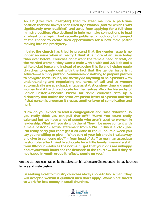**An EP [Executive Presbyter] tried to steer me into a part-time position that had always been filled by a woman (and for which I was significantly over-qualified) and away from applying for a full-time ministry position. Also declined to help me make connections to lead a retreat on a topic I had recently published a book on, but jumped at the chance to create such opportunities for a new male pastor moving into the presbytery.**

**I think the church has tried to pretend that the gender issue is no longer an issue when in reality I think it is more of an issue today than ever before. Churches don't want the female head of staff, or the married woman; they want a male with a wife and 2.5 kids and a white picket fence and instead of exposing this lie and helping equip churches to openly deal with the fact that the gender issue isn't solved—we simply pretend. Seminaries do nothing to prepare pastors to navigate these issues, nor do they do anything to help pastors with understanding and negotiating the terms of call and so women automatically are at a disadvantage as statistics show time and again women find it hard to advocate for themselves. Also the hierarchy of Senior Pastor/Associate Pastor for some churches sets up a dichotomy that makes the associate pastor lesser of a pastor and then if that person is a woman it creates another layer of complication and hurt.**

**"How do you expect to lead a congregation and raise children? Do you really think you can pull that off?" "Wow! You sound really talented but we have a lot of people who aren't used to women in leadership. What will you do with them? They'll be more content with a male pastor." - actual statement from a PNC. "This is a 24/7 job. I'm really sorry you can't get it all done in the 50 hours a week you say you're willing to give.... What part of your job should I take away and give to someone else?" - from head of staff to me in an associate pastor role (after I tried to advocate for a little family time and a shift from 80-hour weeks as the norm). "I get that your kids are unhappy about your work hours and the demands of the church ... but if they're not happy in youth group it reflects poorly on you."**

Among the concerns raised by female church leaders are discrepancies in pay between female and male pastors.

**In seeking a call to ministry churches always hope to find a man. They will accept a woman if qualified men don't apply. Women are forced to work for less money in small churches.**

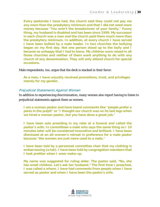**Every pastorate I have had, the church said they could not pay me any more than the presbytery minimum and that I did not need more money because "You aren't the breadwinner of your family." Funny thing, my husband is disabled and has been since 1999. My successor in each church was a man and the church paid them much more than the presbytery minimum. In addition, at every church I have served I have been bullied by a male leader. In two churches the bullying began on my first day. Not one person stood up to the bully and I became so unhappy that I had to leave. My children were raised in all those churches and neither of them want anything to do with any church of any denomination. They will only attend church for special occasions.**

Male respondents, too, argue that the deck is stacked in their favor:

**As a man, I have unjustly received promotions, trust, and privileges merely for my gender.**

#### Prejudicial Statements Against Women

In addition to experiencing discrimination, many women also report having to listen to prejudicial statements against them as women.

**I am a woman pastor and have heard comments like "people prefer a penis in the pulpit" or "I thought our church was on its last legs when we hired a woman pastor, but you have done a great job."**

**I have been solo presiding in my robe at a funeral and called the pastor's wife. In committees a male who says the same thing as I 10 minutes later will be considered innovative and brilliant. I have been dismissed at an all-women's retreat in preference for a male pastor because "the women are just more used to a male."** 

**I have been told by a personnel committee chair that my clothing is embarrassing (a hat). I have been told by congregation members that I look prettier when I wear make-up.**

**My name was suggested for ruling elder. The pastor said, "No, she has small children. Let's ask her husband." The first time I preached, I was called a whore. I have had comments from people when I have served as pastor and when I have been the pastor's wife.**

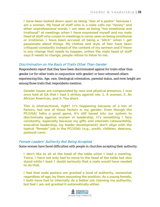**I have been looked down upon as being "less of a pastor" because I am a woman. My head of staff who is a male calls me "honey" and other unprofessional words. I am seen as being "too emotional and irrational" at meetings when I have expressed myself and my male head of staff who cusses in meetings is never seen as being emotional or irrational. I have been accused of being a "bitch" when I get passionate about things. My clothes and style of hair have been critiqued constantly instead of the content of my sermon and if there is any change that needs to happen, unless the male head of staff says it needs to change, people refuse to listen to me.**

#### Discrimination on the Basis of Traits Other Than Gender

Respondents report that they have been discriminated against for traits other than gender (or for other traits in conjunction with gender) or have witnessed others experiencing this. Age, race, theological orientation, parental status, and even height are among those traits that respondents mention.

**Gender issues are compounded by race and physical presence. I was once told at GA that I had 3 strikes against me: 1. A woman, 2. An African American, and 3. Too short.**

**This is intersectional, right? It's happening because of a ton of factors, but one of those factors is my gender. Even though the PC(USA) talks a good game, it's still based into our system to discriminate against women in leadership. It's something I face constantly, especially because my gifts and interests (stewardship, executive leadership, lay leader development) don't align with the typical "female" job in the PC(USA) (e.g., youth, children, deacons, pastoral care).**

#### Female Leaders' Authority Not Being Accepted

Some women have faced difficulties with people in churches accepting their authority.

**I don't like to sit at the head of the table when I lead a meeting. Twice, I have not only had to move to the head of the table but also stand while I lead. I doubt seriously that a male would have needed to do that.**

**I feel that male pastors are granted a level of authority, somewhat regardless of age, by them assuming the position. As a young female, I both have had to internally do a better job claiming my authority, but feel I am not granted it automatically either.**

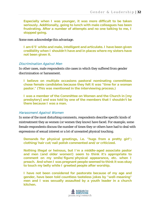**Especially when I was younger, it was more difficult to be taken seriously. Additionally, going to lunch with male colleagues has been frustrating. After a number of attempts and no one talking to me, I stopped going.**

Some men acknowledge this advantage.

**I am 6'5' white and male, intelligent and articulate. I have been given credibility when I shouldn't have and in places where my sisters have not been given it.**

#### Discrimination Against Men

In other cases, male respondents cite cases in which they suffered from gender discrimination or harassment.

**I believe on multiple occasions pastoral nominating committees chose female candidates because they felt it was "time for a woman pastor." (This was mentioned in the interviewing process.)**

**I was a member of the Committee on Women and the Church in [my presbytery] and was told by one of the members that I shouldn't be there because I was a man.** 

#### Harassment Against Women

In some of the most disturbing comments, respondents describe specific kinds of mistreatment they as women (or women they know) have faced. For example, some female respondents discuss the number of times they or others have had to deal with expressions of sexual interest or a lot of unwanted physical touching.

**Demands for physical greetings, i.e. "hugs from a pretty girl"; clothing/hair cut/nail polish commented and/or criticized.**

**Nothing illegal or heinous, but I'm a middle-aged associate pastor and men (and older women!) seem to think it's appropriate to comment on my smile/figure/physical appearance, etc. when I preach. And when I was pregnant people seemed to think it was okay to touch my belly while I greeted people after worship.**

**I have not been considered for pastorate because of my age and gender, have been told countless tasteless jokes by "well-meaning" men and I was sexually assaulted by a youth leader in a church kitchen.**

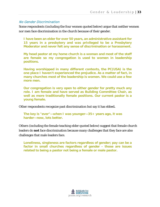#### No Gender Discrimination

Some respondents (including the four women quoted below) argue that neither women nor men face discrimination in the church because of their gender.

**I have been an elder for over 50 years, an administrative assistant for 15 years in a presbytery and was privileged to be a Presbytery Moderator and never felt any sense of discrimination or harassment.**

**My head pastor at my home church is a woman and most of the staff are female so my congregation is used to women in leadership positions.**

**Having worshipped in many different contexts, the PC(USA) is the one place I haven't experienced the prejudice. As a matter of fact, in many churches most of the leadership is women. We could use a few more men.**

**Our congregation is very open to either gender for pretty much any role. I am female and have served as Building Committee Chair, as well as more traditionally female positions. Our current pastor is a young female.**

Other respondents recognize past discrimination but say it has ebbed**.**

```
The key is "ever"—when I was younger—35+ years ago, it was 
harder—now, lots better.
```
Others (including the female teaching elder quoted below) suggest that female church leaders do *not* face discrimination because many challenges that they face are also challenges that male leaders face.

**Loneliness, singleness are factors regardless of gender; pay can be a factor in small churches regardless of gender - those are issues related to being a pastor not being a female or male pastor.**

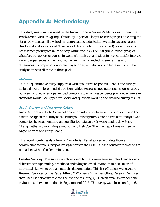## **Appendix A: Methodology**

This study was commissioned by the Racial Ethnic & Women's Ministries office of the Presbyterian Mission Agency. This study is part of a larger research project assessing the status of women at all levels of the church and conducted in two main research areas: theological and sociological. The goals of this broader study are to (1) learn more about how women participate in leadership within the PC(USA); (2) gain a keener grasp of what factors support or constrain women's ministry; and (3) gain deeper insight into the varying experiences of men and women in ministry, including similarities and differences in compensation, career trajectories, and decisions to leave ministry. This study addresses all three of these goals.

#### **Methods**

This is a quantitative study supported with qualitative responses. That is, the surveys included mostly closed-ended questions which were assigned numeric response values, but also included a few open-ended questions to which respondents provided answers in their own words. See Appendix B for exact question wording and detailed survey results.

## Study Design and Implementation

Angie Andriot and Deb Coe, in collaboration with other Research Services staff and the clients, designed the study as the Principal Investigators. Quantitative data analysis was completed by Angie Andriot, and qualitative data analysis was completed by Perry Chang, Bethany Simon, Angie Andriot, and Deb Coe. The final report was written by Angie Andriot and Perry Chang.

This report combines data from a Presbyterian Panel survey with data from a convenience sample survey of Presbyterians in the PC(USA) who consider themselves to be leaders within the denomination.

**Leader Survey:** The survey which was sent to the convenience sample of leaders was delivered through multiple methods, including an email invitation to a selection of individuals known to be leaders in the denomination. This list of leaders was given to Research Services by the Racial Ethnic & Women's Ministries office. Research Services then used *BrightVerify* to clean the list; the resulting 4,156 clean emails were sent one invitation and two reminders in September of 2015. The survey was closed on April 6,

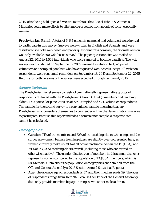2016, after being held open a few extra months so that Racial Ethnic & Women's Ministries could make efforts to elicit more responses from people of color, especially women.

**Presbyterian Panel:** A total of 6,134 panelists (sampled and volunteer) were invited to participate in this survey. Surveys were written in English and Spanish, and were distributed via both web-based and paper questionnaires (however, the Spanish version was only available as a web-based survey). The paper questionnaire was mailed on August 22, 2015 to 4,563 individuals who were sampled to become panelists. The web survey was distributed on September 8, 2015 via email invitation to 1,571 panel volunteers and sampled panelists who have requested web-based surveys. All web nonrespondents were sent email reminders on September 13, 2015 and September 22, 2015. Returns for both versions of the survey were accepted through January 4, 2016.

#### Sample Definition

The Presbyterian Panel survey consists of two nationally representative groups of respondents affiliated with the Presbyterian Church (U.S.A.): members and teaching elders. This particular panel consists of 58% sampled and 42% volunteer respondents. The sample for the second survey is a convenience sample, meaning that any Presbyterian who considers themselves to be a leader within the denomination was able to participate. Because this report includes a convenience sample, a response rate cannot be calculated.

#### Demographics:

- **Gender:** 71% of the members and 52% of the teaching elders who completed the survey are women. Female teaching elders are slightly over-represented here, as women currently make up 38% of all active teaching elders in the PC(USA), and 29% of PC(USA) teaching elders overall (including those who are retired or otherwise inactive). The gender distribution of members in this sample also overrepresents women compared to the population of PC(USA) members, which is 58% female. (Data about the population demographics are obtained from the Office of General Assembly's 2015 Session Annual Statistical Report.)
- *Age*: The average age of respondents is 57, and their median age is 59. The ages of respondents range from 16 to 94. Because the Office of the General Assembly data only provide membership age in ranges, we cannot make a direct

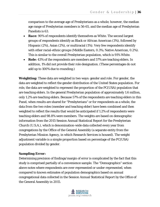comparison to the average age of Presbyterians as a whole; however, the median age range of Presbyterian members is 56-65, and the median age of Presbyterian Panelists is 63.

- *Race*: 90% of respondents identify themselves as White. The second largest groups of respondents identify as Black or African American (3%), followed by Hispanic (2%), Asian (2%), or multiracial (1%). Very few respondents identify with other racial-ethnic groups (Middle Eastern, 0.3%; Native American, 0.2%). This is similar to the overall Presbyterian population, which is 91% White.
- *Role:* 43% of the respondents are members and 57% are teaching elders. In addition, 1% did not provide their role designation. (These percentages do not add up to 100% due to rounding.)

*Weighting:* These data are weighted in two ways: gender and role. For gender, the data are weighted to reflect the gender distribution of the United States population. For role, the data are weighted to represent the proportion of the PC(USA) population that are teaching elders. In the general Presbyterian population of approximately 1.6 million, only 1.2% are teaching elders. Because 57% of the respondents are teaching elders in this Panel, when results are shared for "Presbyterians" or for respondents as a whole, the data from the two roles (member and teaching elder) have been combined and then weighted to reflect the results that would be anticipated if 1.2% of respondents were teaching elders and 98.8% were members. The weights are based on demographic information from the 2015 Session Annual Statistical Report for the Presbyterian Church (U.S.A.), which is denomination-wide data collected every year from congregations by the Office of the General Assembly (a separate entity from the Presbyterian Mission Agency, in which Research Services is housed). The weight adjustment variable is a simple proportion based on percentage of the PC(USA) population divided by gender.

#### *Sampling Error:*

Determining precision of findings/margin of error is complicated by the fact that this study is comprised partially of a convenience sample. The "Demographics" section above notes where respondents are over-represented or under-represented, when compared to known estimates of population demographics based on annual congregational data collected in the Session Annual Statistical Report by the Office of the General Assembly in 2015.

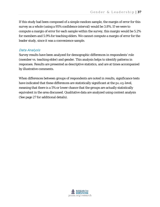If this study had been composed of a simple random sample, the margin of error for this survey as a whole (using a 95% confidence interval) would be 3.8%. If we were to compute a margin of error for each sample within the survey, this margin would be 5.2% for members and 5.9% for teaching elders. We cannot compute a margin of error for the leader study, since it was a convenience sample.

#### Data Analysis

Survey results have been analyzed for demographic differences in respondents' role (member vs. teaching elder) and gender. This analysis helps to identify patterns in responses. Results are presented as descriptive statistics, and are at times accompanied by illustrative comments.

When differences between groups of respondents are noted in results, significance tests have indicated that these differences are statistically significant at the *p*≤.05-level, meaning that there is a 5% or lower chance that the groups are actually statistically equivalent in the area discussed. Qualitative data are analyzed using content analysis (See page 27 for additional details).

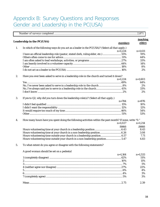## Appendix B: Survey Questions and Responses Gender and Leadership in the PC(USA)

|    | Leadership in the PC(USA)                                                                               | members   | <u>teaching</u><br>elders |
|----|---------------------------------------------------------------------------------------------------------|-----------|---------------------------|
| 1. | In which of the following ways do you act as a leader in the PC(USA)? (Select all that apply.)          |           |                           |
|    |                                                                                                         | $n=1,224$ | $n=1,611$                 |
|    | I have an official leadership role (pastor, stated clerk, ruling elder, etc.) 55%                       |           | 91%                       |
|    |                                                                                                         |           | 44%                       |
|    |                                                                                                         |           | 33%                       |
|    |                                                                                                         |           | 14%                       |
|    |                                                                                                         |           | 8%                        |
|    |                                                                                                         |           | 2%                        |
| 2. | Have you ever been asked to serve in a leadership role in the church and turned it down?                |           |                           |
|    |                                                                                                         | $n=1,224$ | $n=1,603$                 |
|    |                                                                                                         |           | 64%                       |
|    |                                                                                                         |           | 2%                        |
|    |                                                                                                         |           | 33%                       |
|    |                                                                                                         |           | 2%                        |
| 3. | If yes to Q2, why did you turn down the leadership role(s)? (Select all that apply.)                    |           |                           |
|    |                                                                                                         | $n = 784$ | $n = 976$                 |
|    |                                                                                                         |           | 10%                       |
|    |                                                                                                         |           | 12%                       |
|    |                                                                                                         |           | 54%                       |
|    |                                                                                                         |           | 53%                       |
| 4. | How many hours have you spent doing the following activities within the past month? If none, write "0." |           |                           |
|    |                                                                                                         | $n=1,027$ | $n=1,214$                 |
|    |                                                                                                         | mean      | mean                      |
|    |                                                                                                         |           | 8.43                      |
|    | Hours volunteering time at your church in a non-leadership position 6.26                                |           | 3.08                      |
|    | Hours volunteering time outside your church in a leadership position 6.57                               |           | 7.71                      |
|    | Hours volunteering time outside your church in a non-leadership position5.47                            |           | 4.83                      |
| 5. | To what extent do you agree or disagree with the following statements?                                  |           |                           |
|    | A good woman should be set on a pedestal                                                                |           |                           |
|    |                                                                                                         | $n=1,164$ | $n=1,533$                 |
|    |                                                                                                         |           | 51%                       |
|    |                                                                                                         |           | 11%                       |
|    |                                                                                                         |           | 5%                        |
|    |                                                                                                         |           | 22%                       |
|    |                                                                                                         |           | 4%                        |
|    |                                                                                                         |           | 3%                        |
|    |                                                                                                         |           | 3%                        |
|    |                                                                                                         |           |                           |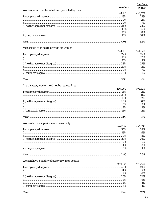|                                                | members   | teaching<br>elders |
|------------------------------------------------|-----------|--------------------|
| Women should be cherished and protected by men |           |                    |
|                                                | $n=1,161$ | $n=1,527$          |
|                                                |           | 23%                |
|                                                |           | 13%                |
|                                                |           | 7%                 |
|                                                |           | 24%                |
|                                                |           | 16%                |
|                                                |           | 8%                 |
|                                                |           | 10%                |
|                                                |           | 3.60               |
| Men should sacrifice to provide for women      |           |                    |
|                                                | $n=1,161$ | $n=1,528$          |
|                                                |           | 27%                |
|                                                |           | 12%                |
|                                                |           | 7%                 |
|                                                |           | 27%                |
|                                                |           | 13%                |
|                                                |           | 7%                 |
|                                                |           | 7%                 |
|                                                |           | 3.36               |
| In a disaster, women need not be rescued first |           |                    |
|                                                | $n=1,160$ | $n=1,529$          |
|                                                |           | 15%                |
|                                                |           | 11%                |
|                                                |           | 12%                |
|                                                |           | 30%                |
|                                                |           | 9%                 |
|                                                |           | 9%                 |
|                                                |           | 14%                |
|                                                |           | 3.90               |
| Women have a superior moral sensibility        |           |                    |
|                                                | $n=1,152$ | $n=1,535$          |
|                                                |           | 39%                |
|                                                |           | 16%                |
|                                                |           | 8%                 |
|                                                |           | 26%                |
|                                                |           | 7%                 |
|                                                |           | 3%                 |
|                                                |           | 1%                 |
|                                                |           | 2.58               |
| Women have a quality of purity few men possess |           |                    |
|                                                | $n=1,155$ | $n=1,532$          |
|                                                |           | 49%                |
|                                                |           | 17%                |
|                                                |           | 6%                 |
|                                                |           | 22%                |
|                                                |           | 4%                 |
|                                                |           | 1%                 |
|                                                |           | 1%                 |
|                                                |           | 2.21               |
|                                                |           |                    |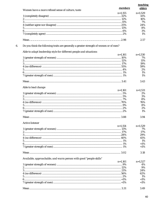|                                                                                        |           | teaching  |
|----------------------------------------------------------------------------------------|-----------|-----------|
| Women have a more refined sense of culture, taste                                      | members   | elders    |
|                                                                                        | $n=1,155$ | $n=1,529$ |
|                                                                                        |           | 41%       |
|                                                                                        |           | 16%       |
|                                                                                        |           | 7%        |
|                                                                                        |           | 24%       |
|                                                                                        |           | 8%        |
|                                                                                        |           | 3%        |
|                                                                                        |           | 1%        |
|                                                                                        |           | 2.57      |
| Do you think the following traits are generally a greater strength of women or of men? |           |           |
| Able to adapt leadership style for different people and situations                     |           |           |
|                                                                                        | $n=1,161$ | $n=1,530$ |
|                                                                                        |           | 7%        |
|                                                                                        |           | 11%       |
|                                                                                        |           | 19%       |
|                                                                                        |           | 59%       |
|                                                                                        |           | 2%        |
|                                                                                        |           | 1%        |
|                                                                                        |           | 1%        |
|                                                                                        |           | 3.43      |
| Able to lead change                                                                    |           |           |
|                                                                                        | $n=1,161$ | $n=1,531$ |
|                                                                                        |           | $2\%$     |
|                                                                                        |           | 3%        |
|                                                                                        |           | 8%        |
|                                                                                        |           | 76%       |
|                                                                                        |           | 8%        |
|                                                                                        |           | 2%        |
|                                                                                        |           | 1%        |
|                                                                                        |           | 3.94      |
| <b>Active listener</b>                                                                 |           |           |
|                                                                                        | $n=1,154$ | $n=1,529$ |
|                                                                                        |           | 7%        |
|                                                                                        |           | 17%       |
|                                                                                        |           | 29%       |
|                                                                                        |           | 45%       |
|                                                                                        |           | 1%        |
|                                                                                        |           | $<$ 1%    |
|                                                                                        |           | $<$ 1%    |
|                                                                                        |           | 3.18      |
| Available, approachable, and warm person with good "people skills"                     |           |           |
|                                                                                        | $n=1,161$ | $n=1,527$ |
|                                                                                        |           | 4%        |
|                                                                                        |           | 9%        |
|                                                                                        |           | 24%       |
|                                                                                        |           | 62%       |
|                                                                                        |           | 1%        |
|                                                                                        |           | $<$ 1%    |
|                                                                                        |           | $<$ 1%    |
|                                                                                        |           | 3.49      |
|                                                                                        |           |           |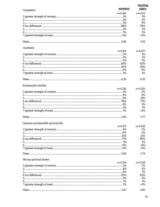|                                      |           | <b>teaching</b> |
|--------------------------------------|-----------|-----------------|
| Competent                            | members   | elders          |
|                                      | $n=1,160$ | $n=1,531$       |
|                                      |           | 1%              |
|                                      |           | 2%              |
|                                      |           | 4%              |
|                                      |           | 91%             |
|                                      |           | 1%              |
|                                      |           | 1%              |
|                                      |           | $<$ 1%          |
|                                      |           | 3.91            |
| Confident                            |           |                 |
|                                      | $n=1,161$ | $n=1,527$       |
|                                      |           | 1%              |
|                                      |           | 1%              |
|                                      |           | 2%              |
|                                      |           | 62%             |
|                                      |           | 24%             |
|                                      |           | 8%              |
|                                      |           | 1%              |
|                                      |           | 4.39            |
| <b>Emotionally healthy</b>           |           |                 |
|                                      | $n=1,158$ | $n=1,526$       |
|                                      |           | 2%              |
|                                      |           | 4%              |
|                                      |           | 15%<br>77%      |
|                                      |           | 3%              |
|                                      |           | 1%              |
|                                      |           | $<$ 1%          |
|                                      |           |                 |
|                                      |           | 3.77            |
| Genuine and heartfelt spiritual life |           |                 |
|                                      | $n=1.157$ | $n=1,528$       |
|                                      |           | 2%              |
|                                      |           | 5%              |
|                                      |           | 12%<br>80%      |
|                                      |           | 1%              |
|                                      |           | $<$ 1%          |
|                                      |           | $<$ 1%          |
|                                      |           | 3.74            |
| Strong spiritual leader              |           |                 |
|                                      | $n=1,154$ | $n=1,528$       |
|                                      |           | 2%              |
|                                      |           | 2%              |
|                                      |           | 7%              |
|                                      |           | 85%             |
|                                      |           | 3%              |
|                                      |           | 1%<br>$<$ 1%    |
|                                      |           |                 |
|                                      |           | 3.90            |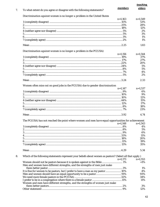| To what extent do you agree or disagree with the following statements?                             |           | teaching   |
|----------------------------------------------------------------------------------------------------|-----------|------------|
|                                                                                                    | members   | elders     |
| Discrimination against women is no longer a problem in the United States                           |           |            |
|                                                                                                    | $n=1,163$ | $n=1,549$  |
|                                                                                                    |           | 53%        |
|                                                                                                    |           | 28%        |
|                                                                                                    |           | 12%        |
|                                                                                                    |           | 2%         |
|                                                                                                    |           | 3%         |
|                                                                                                    |           | 1%         |
|                                                                                                    |           | 1%         |
|                                                                                                    |           | 1.83       |
| Discrimination against women is no longer a problem in the PC(USA)                                 |           |            |
|                                                                                                    | $n=1,156$ | $n=1,544$  |
|                                                                                                    |           | 37%        |
|                                                                                                    |           | 27%        |
|                                                                                                    |           |            |
|                                                                                                    |           | 20%        |
|                                                                                                    |           | 5%         |
|                                                                                                    |           | 5%         |
|                                                                                                    |           | 4%         |
|                                                                                                    |           | 2%         |
|                                                                                                    |           | 2.33       |
| Women often miss out on good jobs in the PC(USA) due to gender discrimination                      |           |            |
|                                                                                                    | $n=1,147$ | $n=1,537$  |
|                                                                                                    |           | 6%         |
|                                                                                                    |           | 9%         |
|                                                                                                    |           | 12%        |
|                                                                                                    |           | 15%        |
|                                                                                                    |           | 17%        |
|                                                                                                    |           | 18%        |
|                                                                                                    |           | 23%        |
|                                                                                                    |           | 4.74       |
|                                                                                                    |           |            |
| The PC(USA) has not reached the point where women and men have equal opportunities for achievement |           |            |
|                                                                                                    | $n=1,148$ | $n=1,543$  |
|                                                                                                    |           | 4%         |
|                                                                                                    |           | 5%         |
|                                                                                                    |           | 6%         |
|                                                                                                    |           | 11%        |
|                                                                                                    |           | 20%        |
|                                                                                                    |           |            |
|                                                                                                    |           |            |
|                                                                                                    |           | 19%<br>35% |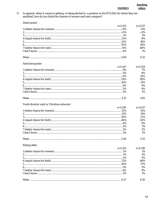9. In general, when it comes to getting, or being elected to, a position in the PC(USA) for which they are qualified, how do you think the chances of women and men compare?

```
Head pastor
```

| $n=1.152$ | $n=1,537$ |
|-----------|-----------|
|           | ${<}1\%$  |
|           | $<1\%$    |
|           | 1%        |
|           | 8%        |
|           | 16%       |
|           | 26%       |
|           | 48%       |
|           | $1\%$     |
|           | 6.12      |

#### Associate pastor

| $n=1,147$ | $n=1,534$ |
|-----------|-----------|
|           | 7%        |
|           | 8%        |
|           | 14%       |
|           | 49%       |
|           | 13%       |
|           | 4%        |
|           | 4%        |
|           | 1%        |
|           | 3.85      |

#### Youth director and/or Christian educator

| n=1.150 | $n=1,537$ |
|---------|-----------|
|         | 13%       |
|         | 14%       |
|         | 21%       |
|         | 42%       |
|         | 6%        |
|         | 1%        |
|         | 2%        |
|         | $1\%$     |
|         | 3.32      |

#### **Ruling elder**

| <b>Thursday</b> |           |           |
|-----------------|-----------|-----------|
|                 | $n=1.155$ | $n=1,536$ |
|                 |           | $1\%$     |
|                 |           | 3%        |
|                 |           | 5%        |
|                 |           | 66%       |
|                 |           | 17%       |
|                 |           | 5%        |
|                 |           | 4%        |
|                 |           | $1\%$     |
|                 |           | 1 26.     |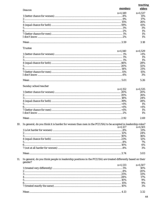| Deacon                                                                                                        | members   | <b>teaching</b><br>elders |
|---------------------------------------------------------------------------------------------------------------|-----------|---------------------------|
|                                                                                                               | $n=1.149$ | $n=1,537$                 |
|                                                                                                               |           | 11%                       |
|                                                                                                               |           | 17%                       |
|                                                                                                               |           | 26%                       |
|                                                                                                               |           | 41%                       |
|                                                                                                               |           |                           |
|                                                                                                               |           | 3%                        |
|                                                                                                               |           | 1%                        |
|                                                                                                               |           | 1%                        |
|                                                                                                               |           | 1%                        |
|                                                                                                               |           | 3.18                      |
| <b>Trustee</b>                                                                                                |           |                           |
|                                                                                                               | $n=1,140$ | $n=1,529$                 |
|                                                                                                               |           | $<$ 1%                    |
|                                                                                                               |           | 1%                        |
|                                                                                                               |           | 1%                        |
|                                                                                                               |           |                           |
|                                                                                                               |           | 28%                       |
|                                                                                                               |           | 32%                       |
|                                                                                                               |           | 21%                       |
|                                                                                                               |           | 15%                       |
|                                                                                                               |           | 3%                        |
|                                                                                                               |           | 5.26                      |
| Sunday school teacher                                                                                         |           |                           |
|                                                                                                               | $n=1,152$ | $n=1,535$                 |
|                                                                                                               |           | 20%                       |
|                                                                                                               |           | 26%                       |
|                                                                                                               |           |                           |
|                                                                                                               |           | 24%                       |
|                                                                                                               |           | 28%                       |
|                                                                                                               |           | 1%                        |
|                                                                                                               |           | $<$ 1%                    |
|                                                                                                               |           | 1%                        |
|                                                                                                               |           | 1%                        |
|                                                                                                               |           | 2.69                      |
| In general, do you think it is harder for women than men in the PC(USA) to be accepted in leadership roles?   |           |                           |
|                                                                                                               | $n=1,127$ | $n=1,501$                 |
|                                                                                                               |           | 13%                       |
|                                                                                                               |           | 24%                       |
|                                                                                                               |           | 36%                       |
|                                                                                                               |           |                           |
|                                                                                                               |           | 12%                       |
|                                                                                                               |           | 7%                        |
|                                                                                                               |           | 6%                        |
|                                                                                                               |           | 3%                        |
|                                                                                                               |           | 3.03                      |
| In general, do you think people in leadership positions in the PC(USA) are treated differently based on their |           |                           |
| gender?                                                                                                       | $n=1.133$ | $n=1,507$                 |
|                                                                                                               |           | 10%                       |
|                                                                                                               |           | 20%                       |
|                                                                                                               |           | 33%                       |
|                                                                                                               |           |                           |
|                                                                                                               |           | 17%                       |
|                                                                                                               |           | 9%                        |
|                                                                                                               |           | 9%                        |
|                                                                                                               |           | 3%                        |
|                                                                                                               |           |                           |
|                                                                                                               |           | 3.32                      |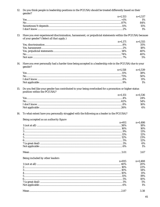12. Do you think people in leadership positions in the PC(USA) should be treated differently based on their gender?  $\overline{1}$ سمدي

| $n=1.153$ $n=1.537$ |
|---------------------|
| $1\%$               |
| 84%                 |
| 15%                 |
| $1\%$               |
|                     |

13. Have you ever experienced discrimination, harassment, or prejudicial statements within the PC(USA) because of your gender? (Select all that apply.)

| $n=1.171$ $n=1.555$ |
|---------------------|
| 35%                 |
| 18%                 |
| 40%                 |
| 40%                 |
| 5%                  |

14. Have you ever personally had a harder time being accepted in a leadership role in the PC(USA) due to your gender?

| $n=1.158$ $n=1.539$ |
|---------------------|
| 38%                 |
| 50%                 |
| 11%                 |
| $1\%$               |

15. Do you feel like your gender has contributed to your being overlooked for a promotion or higher status position within the PC(USA)? المائية الم

| $\frac{1}{2}$ |                     |     |
|---------------|---------------------|-----|
|               | $n=1.151$ $n=1.536$ |     |
|               |                     | 24% |
|               |                     | 54% |
|               |                     | 16% |
|               |                     | 6%  |
|               |                     |     |

16. To what extent have you personally struggled with the following as a leader in the PC(USA)?

#### Being accepted as an authority figure

| <u>bong</u> accepted as an authority ngure |           |
|--------------------------------------------|-----------|
| $n = 911$                                  | $n=1,486$ |
|                                            | 18%       |
|                                            | 16%       |
|                                            | 13%       |
|                                            | 12%       |
|                                            | 23%       |
|                                            | 12%       |
|                                            | 6%        |
|                                            | $1\%$     |
|                                            | 3.67      |

#### Being included by other leaders

| being included by other reducts |           |           |
|---------------------------------|-----------|-----------|
|                                 | $n = 915$ | $n=1,488$ |
|                                 |           | 20%       |
|                                 |           | 22%       |
|                                 |           | 14%       |
|                                 |           | 11%       |
|                                 |           | 19%       |
|                                 |           | 10%       |
|                                 |           | 5%        |
|                                 |           | 1%        |
|                                 |           |           |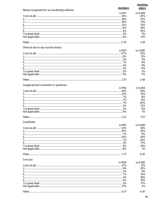|                                              |           | teaching  |
|----------------------------------------------|-----------|-----------|
| Being recognized for my leadership abilities | members   | elders    |
|                                              | $n = 917$ | $n=1,488$ |
|                                              |           | 20%       |
|                                              |           | 22%       |
|                                              |           | 13%       |
|                                              |           | 13%       |
|                                              |           | 18%       |
|                                              |           | 10%       |
|                                              |           | 5%        |
|                                              |           | $<$ 1%    |
|                                              |           | 3.38      |
| Distrust due to my marital status            |           |           |
|                                              | $n = 913$ | $n=1,490$ |
|                                              |           | 55%       |
|                                              |           | 11%       |
|                                              |           | 5%        |
|                                              |           | 8%        |
|                                              |           | 9%        |
|                                              |           | 6%        |
|                                              |           | 5%        |
|                                              |           | 2%        |
|                                              |           | 2.48      |
| Inappropriate comments or questions          |           |           |
|                                              | $n = 914$ | $n=1,484$ |
|                                              |           | 26%       |
|                                              |           | 15%       |
|                                              |           | 8%        |
|                                              |           | 11%       |
|                                              |           | 20%       |
|                                              | 5%        | 12%       |
|                                              |           | 8%        |
|                                              |           | 1%        |
|                                              |           | 3.57      |
| <b>Loneliness</b>                            |           |           |
|                                              | $n=910$   | $n=1,488$ |
|                                              |           | 16%       |
|                                              |           | 10%       |
|                                              |           | 9%        |
|                                              |           | 14%       |
|                                              |           | 20%       |
|                                              |           | 17%       |
|                                              |           | 14%       |
|                                              |           | 1%        |
|                                              |           | 4.20      |
| Low pay                                      |           |           |
|                                              | $n = 856$ | $n=1,486$ |
|                                              |           | 11%       |
|                                              |           | 10%       |
|                                              |           | 9%        |
|                                              |           | 15%       |
|                                              |           | 18%       |
|                                              |           | 19%       |
|                                              |           | 17%       |
|                                              |           | 2%        |
|                                              |           | 4.50      |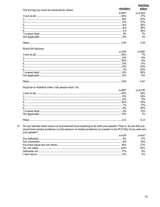|                                                                                                                                                                                                                                               |           | <b>teaching</b> |
|-----------------------------------------------------------------------------------------------------------------------------------------------------------------------------------------------------------------------------------------------|-----------|-----------------|
| Not having my work be validated by others                                                                                                                                                                                                     | members   | elders          |
|                                                                                                                                                                                                                                               | $n = 907$ | $n=1,483$       |
|                                                                                                                                                                                                                                               |           | 17%             |
|                                                                                                                                                                                                                                               |           | 20%             |
|                                                                                                                                                                                                                                               |           | 12%             |
|                                                                                                                                                                                                                                               |           | 16%             |
|                                                                                                                                                                                                                                               |           | 18%             |
|                                                                                                                                                                                                                                               |           | 10%             |
|                                                                                                                                                                                                                                               |           | 7%              |
|                                                                                                                                                                                                                                               |           | 1%              |
|                                                                                                                                                                                                                                               |           | 3.59            |
| Work/life balance                                                                                                                                                                                                                             |           |                 |
|                                                                                                                                                                                                                                               | $n = 376$ | $n = 560$       |
|                                                                                                                                                                                                                                               |           | 7%              |
|                                                                                                                                                                                                                                               |           | 6%              |
|                                                                                                                                                                                                                                               |           | 6%              |
|                                                                                                                                                                                                                                               |           | 17%             |
|                                                                                                                                                                                                                                               |           | 23%             |
|                                                                                                                                                                                                                                               |           | 24%             |
|                                                                                                                                                                                                                                               |           | 18%             |
|                                                                                                                                                                                                                                               |           | 0%              |
|                                                                                                                                                                                                                                               |           | 4.87            |
| Surprise or disbelief when I tell people what I do                                                                                                                                                                                            |           |                 |
|                                                                                                                                                                                                                                               | $n = 897$ | $n=1,476$       |
|                                                                                                                                                                                                                                               |           | 14%             |
|                                                                                                                                                                                                                                               |           | 14%             |
|                                                                                                                                                                                                                                               |           | 9%              |
|                                                                                                                                                                                                                                               |           | 14%             |
|                                                                                                                                                                                                                                               |           | 17%             |
|                                                                                                                                                                                                                                               |           | 18%             |
|                                                                                                                                                                                                                                               |           | 15%             |
|                                                                                                                                                                                                                                               |           | 1%              |
| Mean.                                                                                                                                                                                                                                         | .3.22     | 4.21            |
| Do you feel like these issues (or lack thereof) have anything to do with your gender? That is, do you feel you<br>would have similar problems (or the absence of similar problems) as a leader in the PC(USA) if you were not<br>your gender? |           |                 |
|                                                                                                                                                                                                                                               | $n = 539$ | $n = 917$       |
|                                                                                                                                                                                                                                               |           | 17%             |
|                                                                                                                                                                                                                                               | 00/       | 1.40/           |

| 17%   |
|-------|
| 14%   |
| 2.7%  |
| 30%   |
| $9\%$ |
| 4%    |
|       |

 $17.$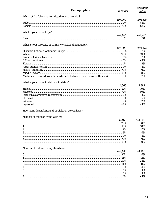| <b>Demographics</b>                                                           | members   | <b>teaching</b><br>elders |
|-------------------------------------------------------------------------------|-----------|---------------------------|
| Which of the following best describes your gender?                            |           |                           |
|                                                                               | $n=1,169$ | $n=1,545$                 |
|                                                                               |           | 48%                       |
|                                                                               |           | 52%                       |
| What is your current age?                                                     |           |                           |
|                                                                               | $n=1,091$ | $n=1,460$<br>54           |
| What is your race and/or ethnicity? (Select all that apply.)                  |           |                           |
|                                                                               | $n=1,100$ | $n=1,473$                 |
|                                                                               |           | 2%                        |
|                                                                               |           | 91%                       |
|                                                                               |           | 2%                        |
|                                                                               |           | $<$ 1%                    |
|                                                                               |           | 2%                        |
|                                                                               |           | 1%                        |
|                                                                               |           | $<$ 1%                    |
|                                                                               |           | $<$ 1%                    |
| Multiracial (recoded from those who selected more than one race-ethnicity) 1% |           | 2%                        |
|                                                                               |           |                           |
| What is your current relationship status?                                     |           |                           |
|                                                                               | $n=1,063$ | $n=1,382$                 |
|                                                                               |           | 10%                       |
|                                                                               |           | 80%                       |
|                                                                               |           | 1%                        |
|                                                                               |           | 7%                        |
|                                                                               |           | 2%<br>$<$ 1%              |
| How many dependents and/or children do you have?                              |           |                           |
| Number of children living with me                                             |           |                           |
|                                                                               | $n = 971$ | $n=1,305$                 |
| 0                                                                             | 73%       | 60%                       |
|                                                                               |           | 18%                       |
|                                                                               |           | 15%                       |
|                                                                               |           | 6%                        |
|                                                                               |           | 2%                        |
|                                                                               |           | $<$ 1%                    |
|                                                                               |           | 0%                        |
| Number of children living elsewhere                                           |           |                           |
|                                                                               | $n=1,016$ | $n=1,286$                 |
|                                                                               |           | 46%                       |
|                                                                               |           | 14%                       |
|                                                                               |           | 23%                       |
|                                                                               |           | 11%                       |
|                                                                               |           | 4%                        |
|                                                                               |           | 1%                        |
|                                                                               |           | 1%                        |
|                                                                               |           | $<$ 1%                    |
|                                                                               |           |                           |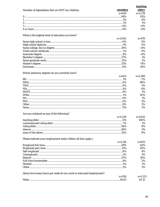|                                                                     | members   | <b>teaching</b><br>elders |
|---------------------------------------------------------------------|-----------|---------------------------|
| Number of dependents that are NOT my children                       | $n = 928$ | $n=1,178$                 |
|                                                                     |           | 93%                       |
|                                                                     |           | 6%                        |
|                                                                     |           | 1%                        |
|                                                                     |           | $<$ 1%                    |
|                                                                     |           | $<$ 1%                    |
|                                                                     |           |                           |
| What is the highest level of education you have?                    |           |                           |
|                                                                     | $n=1.062$ | $n = 578$                 |
|                                                                     |           | 0%                        |
|                                                                     |           | 0%                        |
|                                                                     |           | ${<}1\%$                  |
|                                                                     |           | 0%                        |
|                                                                     |           | $<$ 1%                    |
|                                                                     |           | 1%                        |
|                                                                     |           | 1%                        |
|                                                                     |           | 74%                       |
|                                                                     |           | 24%                       |
| Which seminary degrees do you currently have?                       |           |                           |
|                                                                     | $n = 431$ | $n=1,389$                 |
|                                                                     |           | 2%                        |
|                                                                     |           | 90%                       |
|                                                                     |           | 5%                        |
|                                                                     |           | 6%                        |
|                                                                     |           | 1%                        |
|                                                                     |           | 20%                       |
|                                                                     |           | 1%                        |
|                                                                     |           | 5%                        |
|                                                                     |           | 3%                        |
|                                                                     |           | 2%                        |
| Are you ordained as any of the following?                           |           |                           |
|                                                                     | $n=1,228$ | $n=1,612$                 |
|                                                                     |           | 100%                      |
|                                                                     |           | 1%                        |
|                                                                     |           | 6%                        |
|                                                                     |           | 3%                        |
|                                                                     |           | 0%                        |
| Please indicate your employment status (Select all that apply.)     |           |                           |
|                                                                     | $n=1,118$ | $n = 633$                 |
|                                                                     |           | 63%                       |
|                                                                     |           | 20%                       |
|                                                                     |           | 4%                        |
|                                                                     |           | 3%                        |
|                                                                     |           | 10%                       |
|                                                                     |           | 2%                        |
|                                                                     |           | 1%                        |
|                                                                     |           | 5%                        |
| About how many hours per week do you work in total paid employment? |           |                           |
|                                                                     | $n = 526$ | $n=1,125$                 |
|                                                                     |           | 45.12                     |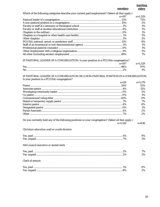|                                                                                                                                                  | members   | <b>teaching</b><br>elders |
|--------------------------------------------------------------------------------------------------------------------------------------------------|-----------|---------------------------|
| Which of the following categories describe your current paid employment? (Select all that apply.)                                                |           |                           |
|                                                                                                                                                  | $n=197$   | $n=1,329$                 |
|                                                                                                                                                  |           | 73%                       |
|                                                                                                                                                  |           | 2%                        |
|                                                                                                                                                  |           | 3%                        |
|                                                                                                                                                  |           | 3%                        |
|                                                                                                                                                  |           | 1%                        |
|                                                                                                                                                  |           | 5%                        |
|                                                                                                                                                  |           | 2%                        |
|                                                                                                                                                  |           | 8%                        |
|                                                                                                                                                  |           | 1%                        |
|                                                                                                                                                  |           | 1%                        |
|                                                                                                                                                  |           | 5%                        |
|                                                                                                                                                  |           | 7%                        |
| IF PASTORAL LEADER OF A CONGREGATION: Is your position in a PC(USA) congregation?                                                                | $n=197$   | $n=1,329$<br>97%<br>3%    |
| IF PASTORAL LEADER OF A CONGREGATION OR A NON-PASTORAL POSITION IN A CONGREGATION:<br>Is your position in a PC(USA) congregation?                |           |                           |
|                                                                                                                                                  | $n = 28$  | $n=1,179$                 |
|                                                                                                                                                  |           | 52%                       |
|                                                                                                                                                  |           | 12%                       |
|                                                                                                                                                  |           | 2%                        |
|                                                                                                                                                  |           | 3%                        |
|                                                                                                                                                  |           | 0%                        |
|                                                                                                                                                  |           | 7%                        |
|                                                                                                                                                  |           | 8%                        |
|                                                                                                                                                  |           | 1%                        |
|                                                                                                                                                  |           | 2%                        |
|                                                                                                                                                  |           | 2%                        |
| Do you currently hold any of the following positions in your congregation? (Select all that apply.)<br>Christian education and/or youth director | $n=1,126$ | $n = 638$                 |
|                                                                                                                                                  |           |                           |
|                                                                                                                                                  |           | 8%                        |
|                                                                                                                                                  |           | 5%                        |
| Mid council executive or stated clerk                                                                                                            |           |                           |
|                                                                                                                                                  |           | 7%                        |
|                                                                                                                                                  |           | 2%                        |
|                                                                                                                                                  |           |                           |
| Clerk of session                                                                                                                                 |           |                           |
|                                                                                                                                                  |           | 0%                        |
|                                                                                                                                                  |           | 2%                        |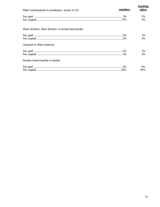| Elder commissioner to presbytery, synod, or GA                                                                                                                                                                                 | members | teaching<br>elders |
|--------------------------------------------------------------------------------------------------------------------------------------------------------------------------------------------------------------------------------|---------|--------------------|
|                                                                                                                                                                                                                                |         |                    |
|                                                                                                                                                                                                                                |         | 2%                 |
| ${\bf Yes,\ paid\  \  \  \  \  \  \  \  \ 1\%$                                                                                                                                                                                 |         | 5%                 |
| Music director, choir director, or praise team leader                                                                                                                                                                          |         |                    |
| ${\bf Yes,\ paid\  \  \  \  \  \  \  \ 2\%$                                                                                                                                                                                    |         | $1\%$              |
|                                                                                                                                                                                                                                |         | $2\%$              |
| Organist or other musician                                                                                                                                                                                                     |         |                    |
| Example 1 and 1 and 1 and 1 and 1 and 1 and 1 and 1 and 1 and 1 and 1 and 1 and 1 and 1 and 1 and 1 and 1 and 1 and 1 and 1 and 1 and 1 and 1 and 1 and 1 and 1 and 1 and 1 and 1 and 1 and 1 and 1 and 1 and 1 and 1 and 1 an |         | $1\%$              |
|                                                                                                                                                                                                                                |         | 3%                 |
| Sunday school teacher or leader                                                                                                                                                                                                |         |                    |
|                                                                                                                                                                                                                                |         | 8%                 |
|                                                                                                                                                                                                                                |         | 10%                |